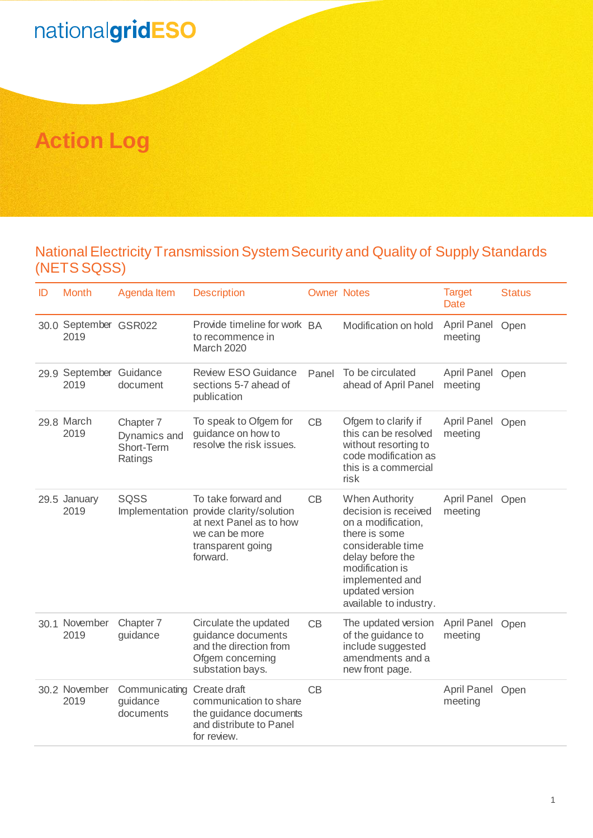## nationalgridESO

## **Action Log**

## National Electricity Transmission System Security and Quality of Supply Standards (NETS SQSS)

| ID | <b>Month</b>                    | Agenda Item                                        | <b>Description</b>                                                                                                                           | <b>Owner Notes</b> |                                                                                                                                                                                                                  | <b>Target</b><br>Date       | <b>Status</b> |
|----|---------------------------------|----------------------------------------------------|----------------------------------------------------------------------------------------------------------------------------------------------|--------------------|------------------------------------------------------------------------------------------------------------------------------------------------------------------------------------------------------------------|-----------------------------|---------------|
|    | 30.0 September GSR022<br>2019   |                                                    | Provide timeline for work BA<br>to recommence in<br>March 2020                                                                               |                    | Modification on hold                                                                                                                                                                                             | April Panel Open<br>meeting |               |
|    | 29.9 September Guidance<br>2019 | document                                           | <b>Review ESO Guidance</b><br>sections 5-7 ahead of<br>publication                                                                           | Panel              | To be circulated<br>ahead of April Panel                                                                                                                                                                         | April Panel Open<br>meeting |               |
|    | 29.8 March<br>2019              | Chapter 7<br>Dynamics and<br>Short-Term<br>Ratings | To speak to Ofgem for<br>guidance on how to<br>resolve the risk issues.                                                                      | CB                 | Ofgem to clarify if<br>this can be resolved<br>without resorting to<br>code modification as<br>this is a commercial<br>risk                                                                                      | April Panel<br>meeting      | Open          |
|    | 29.5 January<br>2019            | SQSS                                               | To take forward and<br>Implementation provide clarity/solution<br>at next Panel as to how<br>we can be more<br>transparent going<br>forward. | CB                 | <b>When Authority</b><br>decision is received<br>on a modification,<br>there is some<br>considerable time<br>delay before the<br>modification is<br>implemented and<br>updated version<br>available to industry. | April Panel Open<br>meeting |               |
|    | 30.1 November<br>2019           | Chapter 7<br>guidance                              | Circulate the updated<br>guidance documents<br>and the direction from<br>Ofgem concerning<br>substation bays.                                | CB                 | The updated version<br>of the guidance to<br>include suggested<br>amendments and a<br>new front page.                                                                                                            | April Panel Open<br>meeting |               |
|    | 30.2 November<br>2019           | Communicating<br>guidance<br>documents             | Create draft<br>communication to share<br>the guidance documents<br>and distribute to Panel<br>for review.                                   | CB                 |                                                                                                                                                                                                                  | April Panel<br>meeting      | Open          |